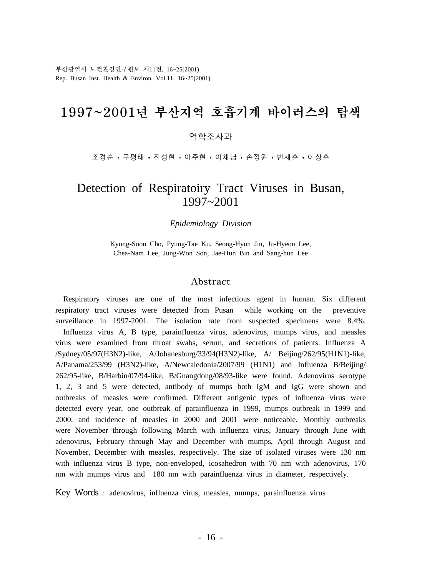부산광역시 보건환경연구원보 제11권, 16~25(2001) Rep. Busan Inst. Health & Environ. Vol.11, 16~25(2001)

# 1997~2001년 부산지역 호흡기계 바이러스의 탐색

#### 역학조사과

조경순 · 구평태 · 진성현 · 이주현 · 이채남 · 손정원 · 빈재훈 · 이상훈

## Detection of Respiratoiry Tract Viruses in Busan, 1997~2001

*Epidemiology Division*

Kyung-Soon Cho, Pyung-Tae Ku, Seong-Hyun Jin, Ju-Hyeon Lee, Chea-Nam Lee, Jung-Won Son, Jae-Hun Bin and Sang-hun Lee

#### Abstract

 Respiratory viruses are one of the most infectious agent in human. Six different respiratory tract viruses were detected from Pusan while working on the preventive surveillance in 1997-2001. The isolation rate from suspected specimens were 8.4%. Influenza virus A, B type, parainfluenza virus, adenovirus, mumps virus, and measles virus were examined from throat swabs, serum, and secretions of patients. Influenza A /Sydney/05/97(H3N2)-like, A/Johanesburg/33/94(H3N2)-like, A/ Beijing/262/95(H1N1)-like, A/Panama/253/99 (H3N2)-like, A/Newcaledonia/2007/99 (H1N1) and Influenza B/Beijing/ 262/95-like, B/Harbin/07/94-like, B/Guangdong/08/93-like were found. Adenovirus serotype 1, 2, 3 and 5 were detected, antibody of mumps both IgM and IgG were shown and outbreaks of measles were confirmed. Different antigenic types of influenza virus were detected every year, one outbreak of parainfluenza in 1999, mumps outbreak in 1999 and 2000, and incidence of measles in 2000 and 2001 were noticeable. Monthly outbreaks were November through following March with influenza virus, January through June with adenovirus, February through May and December with mumps, April through August and November, December with measles, respectively. The size of isolated viruses were 130 nm with influenza virus B type, non-enveloped, icosahedron with 70 nm with adenovirus, 170 nm with mumps virus and 180 nm with parainfluenza virus in diameter, respectively.

Key Words : adenovirus, influenza virus, measles, mumps, parainfluenza virus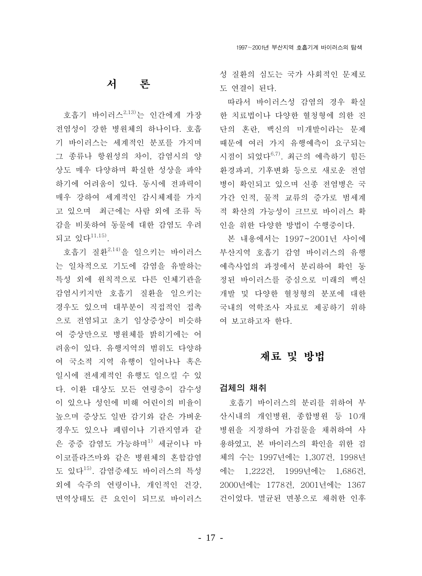## 서 론

호흡기 바이러스<sup>2,13)</sup>는 인간에게 가장 전염성이 강한 병원체의 하나이다. 호흡 기 바이러스는 세계적인 분포를 가지며 그 종류나 항워성의 차이. 감염시의 양 상도 매우 다양하며 확실한 성상을 파악 하기에 어려움이 있다. 동시에 전파력이 매우 강하여 세계적인 감시체제를 가지 고 있으며 최근에는 사람 외에 조류 독 감을 비롯하여 동물에 대한 감염도 우려 되고 있다<sup>11,15)</sup>.

호흡기 질환<sup>2,14)</sup>을 일으키는 바이러스 는 일차적으로 기도에 감염을 유발하는 특성 외에 원칙적으로 다른 인체기관을 감염시키지만 호흡기 질환을 일으키는 경우도 있으며 대부분이 직접적인 접촉 으로 전염되고 초기 임상증상이 비슷하 여 증상만으로 병원체를 밝히기에는 어 려움이 있다. 유행지역의 범위도 다양하 여 국소적 지역 유행이 일어나나 혹은 일시에 전세계적인 유행도 일으킬 수 있 다. 이환 대상도 모든 연령층이 감수성 이 있으나 성인에 비해 어린이의 비율이 높으며 증상도 일반 감기와 같은 가벼운 경우도 있으나 폐렴이나 기관지염과 같 은 중증 감염도 가능하며<sup>1)</sup> 세균이나 마 이코플라즈마와 같은 병원체의 혼합감염 도 있다<sup>15)</sup>. 감염증세도 바이러스의 특성 외에 숙주의 연령이나, 개인적인 건강, 면역상태도 큰 요인이 되므로 바이러스

성 질화의 심도는 국가 사회적인 문제로 도 연결이 된다.

따라서 바이러스성 감염의 경우 확실 한 치료법이나 다양한 혈청형에 의한 진 단의 혼란, 백신의 미개발이라는 문제 때문에 여러 가지 유행예측이 요구되는 시점이 되었다<sup>6,7)</sup>. 최근의 예측하기 힘든 환경파괴, 기후변화 등으로 새로운 전염 병이 확인되고 있으며 신종 전염병은 국 가간 인적, 물적 교류의 증가로 범세계 적 확산의 가능성이 크므로 바이러스 확 인을 위한 다양한 방법이 수행중이다.

본 내용에서는 1997~2001년 사이에 부산지역 호흡기 감염 바이러스의 유행 예측사업의 과정에서 분리하여 확인 동 정된 바이러스를 중심으로 미래의 백신 개발 및 다양한 혈청형의 분포에 대한 국내의 역학조사 자료로 제공하기 위하 여 보고하고자 한다.

## 재료 및 방법

### 검체의 채취

호흡기 바이러스의 분리를 위하여 부 사시내의 개인병원, 종합병원 등 10개 병원을 지정하여 가검물을 채취하여 사 용하였고, 본 바이러스의 확인을 위한 검 체의 수는 1997년에는 1,307건, 1998년 에는 1,222건, 1999년에는 1,686건, 2000년에는 1778건, 2001년에는 1367 건이었다. 멸균된 면봉으로 채취한 인후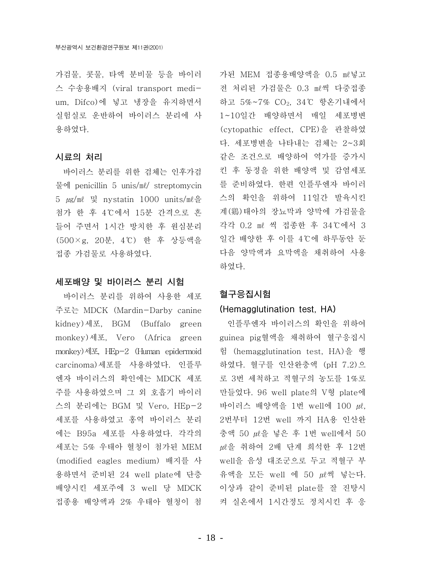가검물, 콧물, 타액 부비물 등을 바이러 스 수송용배지 (viral transport medium, Difco)에 넣고 냉장을 유지하면서 실험실로 운반하여 바이러스 분리에 사 용하였다.

#### 시료의 처리

바이러스 분리를 위한 검체는 인후가검 물에 penicillin 5 unis/ml/ streptomycin 5  $\mu$ g/ml 및 nystatin 1000 units/ml을 첨가 한 후 4℃에서 15분 간격으로 흔 들어 주면서 1시간 방치한 후 원심분리 (500×g, 20분, 4℃) 한 후 상등액을 접종 가검물로 사용하였다.

### 세포배양 및 바이러스 분리 시험

바이러스 분리를 위하여 사용한 세포 주로는 MDCK (Mardin-Darby canine kidney)세포, BGM (Buffalo green monkey)세포, Vero (Africa green monkey)세포, HEp-2 (Human epidermoid carcinoma) 세포를 사용하였다. 인플루 엔자 바이러스의 확인에는 MDCK 세포 주를 사용하였으며 그 외 호흡기 바이러 스의 분리에는 BGM 및 Vero, HEp-2 세포를 사용하였고 홍역 바이러스 분리 에는 B95a 세포를 사용하였다. 각각의 세포는 5% 우태아 혈청이 첨가된 MEM (modified eagles medium) 배지를 사 용하면서 준비된 24 well plate에 단층 배양시킨 세포주에 3 well 당 MDCK 접종용 배양액과 2% 우태아 혈청이 첨 가된 MEM 접종용배양액을 0.5 ml넣고 전 처리된 가검물은 0.3 ml씩 다중접종 하고 5%~7% CO2, 34℃ 항온기내에서 1~10일간 배양하면서 매일 세포병변 (cytopathic effect. CPE)을 관찰하였 다. 세포병변을 나타내는 검체는 2~3회 같은 조건으로 배양하여 역가를 증가시 킨 후 동정을 위한 배양액 및 감염세포 를 준비하였다. 한편 인플루엔자 바이러 스의 확인을 위하여 11일간 발육시킨 계(鷄)태아의 장뇨막과 양막에 가검물을 각각 0.2 ml 씩 접종한 후 34℃에서 3 일간 배양한 후 이를 4℃에 하루동안 둔 다음 양막액과 요막액을 채취하여 사용 하였다.

### 혈구응집시험

#### (Hemagglutination test, HA)

인플루엔자 바이러스의 확인을 위하여 guinea pig혈액을 채취하여 혈구응집시 험 (hemagglutination test, HA)을 행 하였다. 혈구를 인산완충액 (pH 7.2)으 로 3번 세척하고 적혈구의 농도를 1%로 만들었다. 96 well plate의 V형 plate에 바이러스 배양액을 1번 well에 100 *ml*. 2번부터 12번 well 까지 HA용 인산완 충액 50 *m*l을 넣은 후 1번 well에서 50 μl을 취하여 2배 단계 희석한 후 12번 well을 음성 대조군으로 두고 적혈구 부 유액을 모든 well 에 50 ul씩 넣는다. 이상과 같이 준비된 plate를 잘 진탕시 켜 실온에서 1시간정도 정치시킨 후 응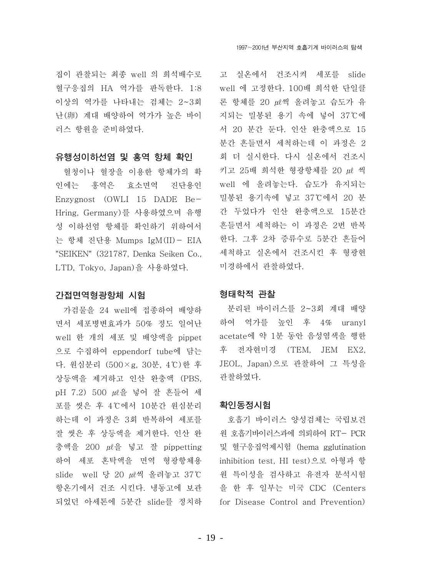집이 관찰되는 최종 well 의 희석배수로 혈구응집의 HA 역가를 판독한다. 1:8 이상의 역가를 나타내는 검체는 2~3회 난(卵) 계대 배양하여 역가가 높은 바이 러스 항원을 준비하였다.

### 유행성이하선염 및 홍역 항체 확인

혈청이나 혈장을 이용한 항체가의 확 인에는 홍역은 효소면역 진단용인 Enzygnost (OWLI 15 DADE Be-Hring. Germany)를 사용하였으며 유행 성 이하선염 항체를 확인하기 위하여서 는 항체 진단용 Mumps IgM(II)- EIA "SEIKEN" (321787, Denka Seiken Co., LTD. Tokvo. Japan)을 사용하였다.

#### 간접면역형광항체 시험

가검물을 24 well에 접종하여 배양하 면서 세포병변효과가 50% 정도 일어난 well 한 개의 세포 및 배양액을 pippet 으로 수집하여 eppendorf tube에 담는 다. 원심분리 (500×g, 30분, 4℃)한 후 상등액을 제거하고 인산 완충액 (PBS, 포를 씻은 후 4℃에서 10분간 원심분리 하는데 이 과정은 3회 반복하여 세포를 잘 씻은 후 상등액을 제거한다. 인산 완 충액을 200 μl을 넣고 잘 pippetting 하여 세포 혼탁액을 면역 형광항체용 slide well 당 20 *w*.씩 올려놓고 37℃ 항온기에서 건조 시킨다. 냉동고에 보관 되었던 아세톤에 5분간 slide를 정치하 for Disease Control and Prevention)

고 실온에서 건조시켜 세포를 slide well 에 고정한다. 100배 희석한 단일클 론 항체를 20 μl씩 올려놓고 습도가 유 지되는 밀봉된 용기 속에 넣어 37℃에 서 20 분간 둔다. 인산 완충액으로 15 분간 흔들면서 세척하는데 이 과정은 2 회 더 실시한다. 다시 실온에서 건조시 키고 25배 희석한 형광항체를 20 µl 씩 well 에 올려놓는다. 습도가 유지되는 밀봉된 용기속에 넣고 37℃에서 20 분 간 두었다가 인산 완충액으로 15분간 흔들면서 세척하는 이 과정은 2번 반복 한다. 그후 2차 증류수로 5분간 흔들어 세척하고 실온에서 건조시킨 후 형광현 미경하에서 관찰하였다.

### 형태학적 관찰

분리된 바이러스를 2~3회 계대 배양 하여 역가를 높인 후 4% uranyl acetate에 약 1분 동안 음성염색을 행한 후 전자현미경 (TEM, JEM EX2. JEOL, Japan)으로 관찰하여 그 특성을 관찰하였다.

### 확인동정시험

호흡기 바이러스 양성검체는 국립보건 워 호흡기바이러스과에 의뢰하여 RT- PCR 및 혈구응집억제시험 (hema gglutination inhibition test, HI test)으로 아형과 항 원 특이성을 검사하고 유전자 분석시험 을 한 후 일부는 미국 CDC (Centers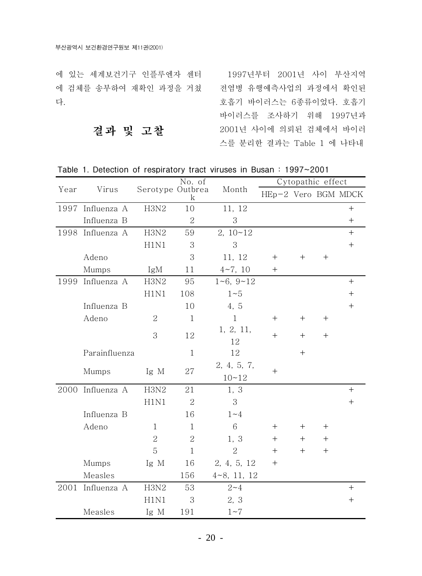에 있는 세계보건기구 인플루엔자 센터 1997년부터 2001년 사이 부산지역 에 검체를 송부하여 재확인 과정을 거쳤 전염병 유행예측사업의 과정에서 확인된 다.

호흡기 바이러스는 6종류이었다. 호흡기 바이러스를 조사하기 위해 1997년과 2001년 사이에 의뢰된 검체에서 바이러 스를 분리한 결과는 Table 1 에 나타내

Table 1. Detection of respiratory tract viruses in Busan: 1997~2001

|      | Virus            |                  | No. of         | Month              | Cytopathic effect   |        |                                  |                  |
|------|------------------|------------------|----------------|--------------------|---------------------|--------|----------------------------------|------------------|
| Year |                  | Serotype Outbrea | k              |                    | HEp-2 Vero BGM MDCK |        |                                  |                  |
|      | 1997 Influenza A | H3N2             | 10             | 11, 12             |                     |        |                                  | $+$              |
|      | Influenza B      |                  | $\overline{2}$ | 3                  |                     |        |                                  | $+$              |
| 1998 | Influenza A      | H3N2             | 59             | $2, 10 - 12$       |                     |        |                                  | $+$              |
|      |                  | H1N1             | 3              | 3                  |                     |        |                                  | $\boldsymbol{+}$ |
|      | Adeno            |                  | 3              | 11, 12             | $^{+}$              | $^{+}$ | $^{+}$                           |                  |
|      | Mumps            | IgM              | 11             | $4\sim7,10$        | $^{+}$              |        |                                  |                  |
| 1999 | Influenza A      | H3N2             | 95             | $1 - 6$ , $9 - 12$ |                     |        |                                  |                  |
|      |                  | H1N1             | 108            | 1~5                |                     |        |                                  | $\! + \!$        |
|      | Influenza B      |                  | 10             | 4, 5               |                     |        |                                  | $\boldsymbol{+}$ |
|      | Adeno            | $\overline{2}$   | $\mathbf{1}$   | $\mathbf{1}$       | $^{+}$              | $+$    | $\begin{array}{c} + \end{array}$ |                  |
|      |                  | 3                | 12             | 1, 2, 11,          | $^{+}$              | $+$    | $^{+}$                           |                  |
|      |                  |                  |                | 12                 |                     |        |                                  |                  |
|      | Parainfluenza    |                  | $\mathbf{1}$   | 12                 |                     | $^{+}$ |                                  |                  |
|      | Mumps            | Ig M             | 27             | 2, 4, 5, 7,        | $^{+}$              |        |                                  |                  |
|      |                  |                  |                | $10 - 12$          |                     |        |                                  |                  |
|      | 2000 Influenza A | H3N2             | 21             | 1, 3               |                     |        |                                  | $\boldsymbol{+}$ |
|      |                  | H1N1             | $\overline{2}$ | 3                  |                     |        |                                  | $\boldsymbol{+}$ |
|      | Influenza B      |                  | 16             | $1 - 4$            |                     |        |                                  |                  |
|      | Adeno            | $\mathbf{1}$     | $\mathbf{1}$   | 6                  | $^{+}$              | $+$    | $^{+}$                           |                  |
|      |                  | $\overline{2}$   | $\overline{2}$ | 1, 3               | $^{+}$              | $^{+}$ | $^{+}$                           |                  |
|      |                  | 5                | $\mathbf{1}$   | $\overline{2}$     | $+$                 | $+$    | $^{+}$                           |                  |
|      | Mumps            | Ig M             | 16             | 2, 4, 5, 12        | $^{+}$              |        |                                  |                  |
|      | Measles          |                  | 156            | $4 - 8, 11, 12$    |                     |        |                                  |                  |
| 2001 | Influenza A      | H3N2             | 53             | $2 - 4$            |                     |        |                                  | $+$              |
|      |                  | H1N1             | 3              | 2, 3               |                     |        |                                  |                  |
|      | Measles          | Ig M             | 191            | $1 - 7$            |                     |        |                                  |                  |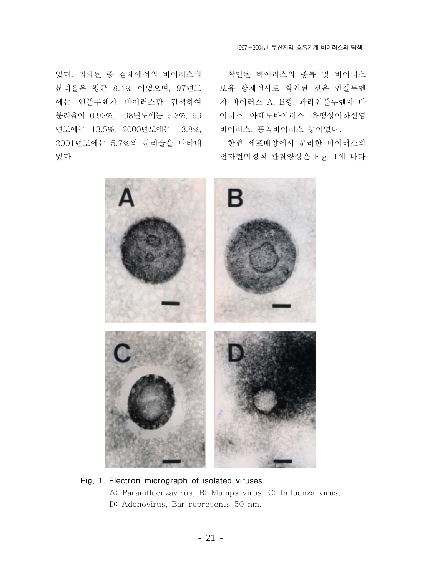었다. 의뢰된 총 검체에서의 바이러스의 분리율은 평균 8.4% 이였으며, 97년도 에는 인플루엔자 바이러스만 검색하여 분리율이 0.92%, 98년도에는 5.3%, 99 년도에는 13.5%, 2000년도에는 13.8%, 2001년도에는 5.7%의 분리율을 나타내 었다.

확인된 바이러스의 종류 및 바이러스 보유 항체검사로 확인된 것은 인플루엔 자 바이러스 A, B형, 파라인플루엔자 바 이러스, 아데노바이러스, 유행성이하선염 바이러스, 홍역바이러스 등이었다.

한편 세포배양에서 분리한 바이러스의 전자현미경적 관찰양상은 Fig. 1에 나타



### Fig, 1. Electron micrograph of isolated viruses.

A: Parainfluenzavirus, B: Mumps virus, C: Influenza virus, D: Adenovirus, Bar represents 50 nm.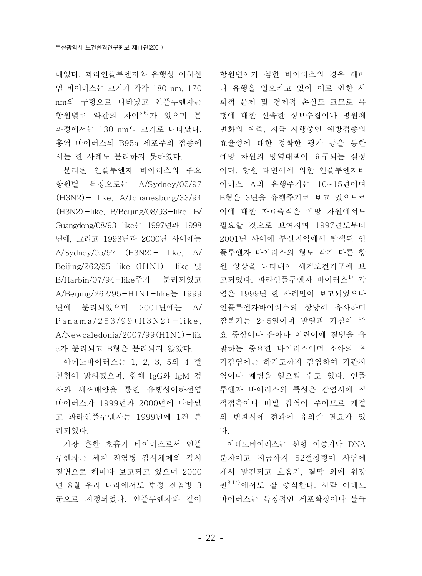내었다. 파라인플루에자와 유행성 이하선 염 바이러스는 크기가 각각 180 nm, 170 nm의 구형으로 나타났고 인플루엔자는 항원별로 약간의 차이<sup>5,6)</sup>가 있으며 본 과정에서는 130 nm의 크기로 나타났다. 홍역 바이러스의 B95a 세포주의 접종에 서는 한 사례도 분리하지 못하였다.

분리된 인플루엔자 바이러스의 주요 항원별 특징으로는 A/Sydney/05/97  $(H3N2)$  – like, A/Johanesburg/33/94  $(H3N2)$  -like, B/Beijing/08/93-like, B/ Guangdong/08/93-like는 1997년과 1998 년에, 그리고 1998년과 2000년 사이에는  $A/Sydney/05/97$   $(H3N2)$   $-$  like, A Beijing/262/95-like  $(H1N1)$ - like 및 B/Harbin/07/94-like주가 분리되었고 A/Beijing/262/95-H1N1-like는 1999 년에 분리되었으며 2001년에는 A/  $Panama/253/99(H3N2) - like.$  $A/Newcaledonia/2007/99(H1N1) - lik$ e가 분리되고 B형은 분리되지 않았다.

아데노바이러스는 1, 2, 3, 5의 4 혈 청형이 밝혀졌으며, 항체 IgG와 IgM 검 사와 세포배양을 통한 유행성이하선염 바이러스가 1999년과 2000년에 나타났 고 파라인플루엔자는 1999년에 1건 분 리되었다.

가장 흔한 호흡기 바이러스로서 인플 루엔자는 세계 전염병 감시체제의 감시 질병으로 해마다 보고되고 있으며 2000 년 8월 우리 나라에서도 법정 전염병 3 군으로 지정되었다. 인플루엔자와 같이 항원변이가 심한 바이러스의 경우 해마 다 유행을 일으키고 있어 이로 인한 사 회적 문제 및 경제적 손실도 크므로 유 행에 대한 신속한 정보수집이나 병원체 변화의 예측, 지금 시행중인 예방접종의 효율성에 대한 정확한 평가 등을 통한 예방 차원의 방역대책이 요구되는 실정 이다. 항원 대변이에 의한 인플루엔자바 이러스 A의 유행주기는 10~15년이며 B형은 3년을 유행주기로 보고 있으므로 이에 대한 자료축적은 예방 차원에서도 필요할 것으로 보여지며 1997년도부터 2001년 사이에 부산지역에서 탐색된 인 플루엔자 바이러스의 형도 각기 다른 항 원 양상을 나타내어 세계보건기구에 보 고되었다. 파라인플루엔자 바이러스<sup>1)</sup> 감 염은 1999년 한 사례만이 보고되었으나 인플루엔자바이러스와 상당히 유사하며 잠복기는 2~5일이며 발열과 기침이 주 요 증상이나 유아나 어린이에 질병을 유 발하는 중요한 바이러스이며 소아의 초 기감염에는 하기도까지 감염하여 기관지 염이나 폐렴을 일으킬 수도 있다. 인플 루엔자 바이러스의 특성은 감염시에 직 접접촉이나 비말 감염이 주이므로 계절 의 변환시에 전파에 유의할 필요가 있 다.

아데노바이러스는 선형 이중가닥 DNA 분자이고 지금까지 52혈청형이 사람에 게서 발견되고 호흡기. 결막 외에 위장 관<sup>8,14)</sup>에서도 잘 증식한다. 사람 아데노 바이러스는 특징적인 세포확장이나 불규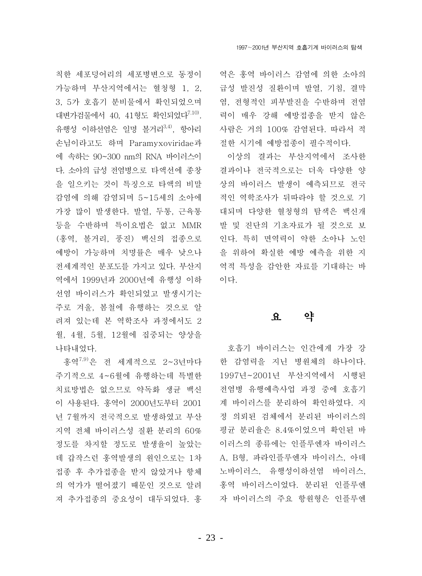1997~2001년 부산지역 호흡기계 바이러스의 탐색

칙한 세포덩어리의 세포병변으로 동정이 가능하며 부산지역에서는 혈청형 1, 2, 3, 5가 호흡기 분비물에서 확인되었으며 대변가검물에서 40, 41형도 확인되었다<sup>7.10)</sup>. 유행성 이하선염은 일명 볼거리<sup>3,4)</sup>. 항아리 손님이라고도 하며 Paramyxoviridae과 에 속하는 90~300 nm의 RNA 바이러스이 다. 소아의 급성 전염병으로 타액선에 종창 을 일으키는 것이 특징으로 타액의 비말 감염에 의해 감염되며 5~15세의 소아에 가장 많이 발생한다. 발열, 두통, 근육통 등을 수반하며 특이요법은 없고 MMR (홍역, 볼거리, 풍진) 백신의 접종으로 예방이 가능하며 치명률은 매우 낮으나 전세계적인 분포도를 가지고 있다. 부산지 역에서 1999년과 2000년에 유행성 이하 선염 바이러스가 확인되었고 발생시기는 주로 겨울, 봄철에 유행하는 것으로 알 려져 있는데 본 역학조사 과정에서도 2 월, 4월, 5월, 12월에 집중되는 양상을 나타내었다.

홍역<sup>7,9)</sup>은 전 세계적으로 2~3년마다 주기적으로 4~6월에 유행하는데 특별한 치료방법은 없으므로 약독화 생규 백신 이 사용된다. 홍역이 2000년도부터 2001 년 7월까지 전국적으로 발생하였고 부산 지역 전체 바이러스성 질환 분리의 60% 정도를 차지할 정도로 발생율이 높았는 데 갑작스런 홍역발생의 원인으로는 1차 접종 후 추가접종을 받지 않았거나 항체 의 역가가 떨어졌기 때문인 것으로 알려 져 추가접종의 중요성이 대두되었다. 홍

역은 홍역 바이러스 감염에 의한 소아의 급성 발진성 질환이며 발열, 기침, 결막 염, 전형적인 피부발진을 수반하며 전염 력이 매우 강해 예방접종을 받지 않은 사람은 거의 100% 감염된다. 따라서 적 절한 시기에 예방접종이 필수적이다.

이상의 결과는 부산지역에서 조사한 결과이나 전국적으로는 더욱 다양한 양 상의 바이러스 발생이 예측되므로 전국 적인 역학조사가 뒤따라야 할 것으로 기 대되며 다양한 혈청형의 탐색은 백신개 발 및 진단의 기초자료가 될 것으로 보 인다. 특히 면역력이 약한 소아나 노인 을 위하여 확실한 예방 예측을 위한 지 역적 특성을 감안한 자료를 기대하는 바 이다.

#### 약  $\mathbf{Q}$

호흡기 바이러스는 인간에게 가장 강 한 감염력을 지닌 병원체의 하나이다. 1997년~2001년 부산지역에서 시행된 전염병 유행예측사업 과정 중에 호흡기 계 바이러스를 분리하여 확인하였다. 지 정 의뢰된 검체에서 분리된 바이러스의 평균 분리율은 8.4%이었으며 확인된 바 이러스의 종류에는 인플루엔자 바이러스 A, B형, 파라인플루엔자 바이러스, 아데 노바이러스. 유행성이하선염 바이러스. 홍역 바이러스이었다. 분리된 인플루엔 자 바이러스의 주요 항워형은 인플루엔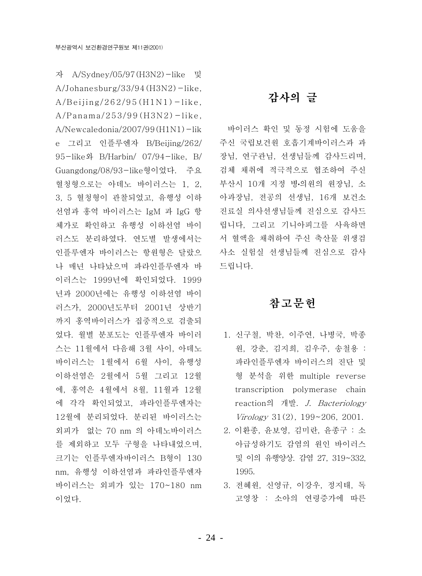자 A/Sydney/05/97 (H3N2)-like 및  $A/Johanesburg/33/94(H3N2) - like,$  $A/Beijing/262/95(H1N1) - like$ ,  $A/Panama/253/99(H3N2) - like.$  $A/N$ ewcaledonia/2007/99 $(H1N1)$ -lik e 그리고 인플루엔자 B/Beijing/262/ 95-like와 B/Harbin/ 07/94-like, B/ Guangdong/08/93-like형이었다. 주요 혈청형으로는 아데노 바이러스는 1, 2, 3, 5 혈청형이 관찰되었고, 유행성 이하 선염과 홍역 바이러스는 IgM 과 IgG 항 체가로 확인하고 유행성 이하선염 바이 러스도 분리하였다. 연도별 발생에서는 인플루엔자 바이러스는 항원형은 달랐으 나 매년 나타났으며 파라인플루엔자 바 이러스는 1999년에 확인되었다. 1999 년과 2000년에는 유행성 이하선염 바이 러스가, 2000년도부터 2001년 상반기 까지 홍역바이러스가 집중적으로 검출되 었다. 월별 분포도는 인플루엔자 바이러 스는 11월에서 다음해 3월 사이, 아데노 바이러스는 1월에서 6월 사이, 유행성 이하선염은 2월에서 5월 그리고 12월 에, 홍역은 4월에서 8월, 11월과 12월 에 각각 확인되었고, 파라인플루에자는 12월에 분리되었다. 분리된 바이러스는 외피가 없는 70 nm 의 아데노바이러스 를 제외하고 모두 구형을 나타내었으며, 크기는 인플루엔자바이러스 B형이 130 nm. 유행성 이하선염과 파라인플루엔자 바이러스는 외피가 있는 170~180 nm 이었다.

## 감사의 글

바이러스 확인 및 동정 시험에 도움을 주신 국립보건원 호흡기계바이러스과 과 장님, 연구관님, 선생님들께 감사드리며, 검체 채취에 적극적으로 협조하여 주신 부산시 10개 지정 병·의원의 원장님, 소 아과장님, 전공의 선생님, 16개 보건소 진료실 의사선생님들께 진심으로 감사드 립니다, 그리고 기니아피그를 사육하면 서 혈액을 채취하여 주신 축산물 위생검 사소 실험실 선생님들께 진심으로 감사 드립니다.

## 참고문헌

- 1. 신구철, 박찬, 이주연, 나병국, 박종 원, 강춘, 김지희, 김우주, 송철용 : 파라인플루엔자 바이러스의 진단 및 형 분석을 위한 multiple reverse transcription polymerase chain reaction의 개발. J. Bacteriology Virology 31(2), 199~206, 2001.
- 2. 이환종, 윤보영, 김미란, 윤종구 : 소 아급성하기도 감염의 원인 바이러스 및 이의 유행양상. 감염 27, 319~332, 1995.
- 3. 전혜원, 신영규, 이강우, 정지태, 독 고영창 : 소아의 연령증가에 따른